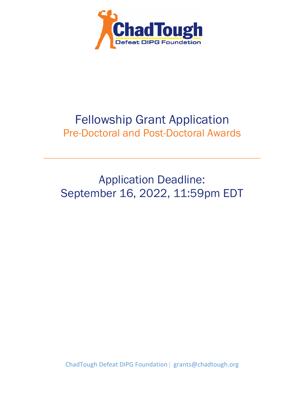

# Fellowship Grant Application Pre-Doctoral and Post-Doctoral Awards

Application Deadline: September 16, 2022, 11:59pm EDT

\_\_\_\_\_\_\_\_\_\_\_\_\_\_\_\_\_\_\_\_\_\_\_\_\_\_\_\_\_\_\_\_\_\_\_\_\_\_\_\_\_\_\_\_\_\_\_\_\_\_\_\_\_\_\_\_\_\_\_\_\_\_\_\_\_\_\_\_\_\_\_\_\_

ChadTough Defeat DIPG Foundation | grants@chadtough.org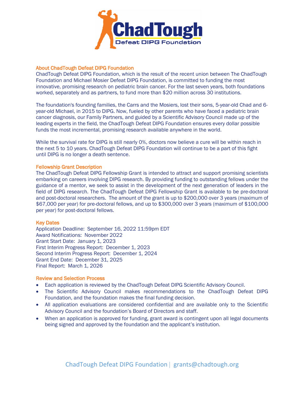

#### About ChadTough Defeat DIPG Foundation

ChadTough Defeat DIPG Foundation, which is the result of the recent union between The ChadTough Foundation and Michael Mosier Defeat DIPG Foundation, is committed to funding the most innovative, promising research on pediatric brain cancer. For the last seven years, both foundations worked, separately and as partners, to fund more than \$20 million across 30 institutions.

The foundation's founding families, the Carrs and the Mosiers, lost their sons, 5-year-old Chad and 6 year-old Michael, in 2015 to DIPG. Now, fueled by other parents who have faced a pediatric brain cancer diagnosis, our Family Partners, and guided by a Scientific Advisory Council made up of the leading experts in the field, the ChadTough Defeat DIPG Foundation ensures every dollar possible funds the most incremental, promising research available anywhere in the world.

While the survival rate for DIPG is still nearly 0%, doctors now believe a cure will be within reach in the next 5 to 10 years. ChadTough Defeat DIPG Foundation will continue to be a part of this fight until DIPG is no longer a death sentence.

#### Fellowship Grant Description

The ChadTough Defeat DIPG Fellowship Grant is intended to attract and support promising scientists embarking on careers involving DIPG research. By providing funding to outstanding fellows under the guidance of a mentor, we seek to assist in the development of the next generation of leaders in the field of DIPG research. The ChadTough Defeat DIPG Fellowship Grant is available to be pre-doctoral and post-doctoral researchers. The amount of the grant is up to \$200,000 over 3 years (maximum of \$67,000 per year) for pre-doctoral fellows, and up to \$300,000 over 3 years (maximum of \$100,000 per year) for post-doctoral fellows.

#### Key Dates

Application Deadline: September 16, 2022 11:59pm EDT Award Notifications: November 2022 Grant Start Date: January 1, 2023 First Interim Progress Report: December 1, 2023 Second Interim Progress Report: December 1, 2024 Grant End Date: December 31, 2025 Final Report: March 1, 2026

# Review and Selection Process

- Each application is reviewed by the ChadTough Defeat DIPG Scientific Advisory Council.
- The Scientific Advisory Council makes recommendations to the ChadTough Defeat DIPG Foundation, and the foundation makes the final funding decision.
- All application evaluations are considered confidential and are available only to the Scientific Advisory Council and the foundation's Board of Directors and staff.
- When an application is approved for funding, grant award is contingent upon all legal documents being signed and approved by the foundation and the applicant's institution.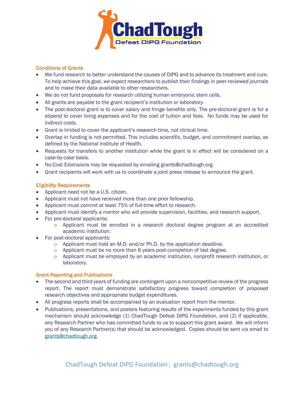

# Conditions of Grants

- We fund research to better understand the causes of DIPG and to advance its treatment and cure. To help achieve this goal, we expect researchers to publish their findings in peer-reviewed journals and to make their data available to other researchers.
- We do not fund proposals for research utilizing human embryonic stem cells.
- All grants are payable to the grant recipient's institution or laboratory.
- The post-doctoral grant is to cover salary and fringe benefits only. The pre-doctoral grant is for a stipend to cover living expenses and for the cost of tuition and fees. No funds may be used for indirect costs.
- Grant is limited to cover the applicant's research time, not clinical time.
- Overlap in funding is not permitted. This includes scientific, budget, and commitment overlap, as defined by the National Institute of Health.
- Requests for transfers to another institution while the grant is in effect will be considered on a case-by-case basis.
- No-Cost Extensions may be requested by emailing grants@chadtough.org.
- Grant recipients will work with us to coordinate a joint press release to announce the grant.

## Eligibility Requirements

- Applicant need not be a U.S. citizen.
- Applicant must not have received more than one prior fellowship.
- Applicant must commit at least 75% of full-time effort to research.
- Applicant must identify a mentor who will provide supervision, facilities, and research support.
- For pre-doctoral applicants:
	- $\circ$  Applicant must be enrolled in a research doctoral degree program at an accredited academic institution.
- For post-doctoral applicants:
	- o Applicant must hold an M.D. and/or Ph.D. by the application deadline.
	- o Applicant must be no more than 6 years post-completion of last degree.
	- o Applicant must be employed by an academic institution, nonprofit research institution, or laboratory.

## Grant Reporting and Publications

- The second and third years of funding are contingent upon a noncompetitive review of the progress report. The report must demonstrate satisfactory progress toward completion of proposed research objectives and appropriate budget expenditures.
- All progress reports shall be accompanied by an evaluation report from the mentor.
- Publications, presentations, and posters featuring results of the experiments funded by this grant mechanism should acknowledge (1) ChadTough Defeat DIPG Foundation, and (2) if applicable, any Research Partner who has committed funds to us to support this grant award. We will inform you of any Research Partner(s) that should be acknowledged. Copies should be sent via email to grants@chadtough.org.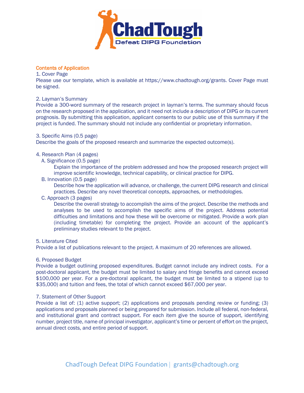

## Contents of Application

#### 1. Cover Page

Please use our template, which is available at https://www.chadtough.org/grants. Cover Page must be signed.

# 2. Layman's Summary

Provide a 300-word summary of the research project in layman's terms. The summary should focus on the research proposed in the application, and it need not include a description of DIPG or its current prognosis. By submitting this application, applicant consents to our public use of this summary if the project is funded. The summary should not include any confidential or proprietary information.

# 3. Specific Aims (0.5 page)

Describe the goals of the proposed research and summarize the expected outcome(s).

# 4. Research Plan (4 pages)

A. Significance (0.5 page)

Explain the importance of the problem addressed and how the proposed research project will improve scientific knowledge, technical capability, or clinical practice for DIPG.

B. Innovation (0.5 page)

Describe how the application will advance, or challenge, the current DIPG research and clinical practices. Describe any novel theoretical concepts, approaches, or methodologies.

C. Approach (3 pages)

Describe the overall strategy to accomplish the aims of the project. Describe the methods and analyses to be used to accomplish the specific aims of the project. Address potential difficulties and limitations and how these will be overcome or mitigated. Provide a work plan (including timetable) for completing the project. Provide an account of the applicant's preliminary studies relevant to the project.

## 5. Literature Cited

Provide a list of publications relevant to the project. A maximum of 20 references are allowed.

## 6. Proposed Budget

Provide a budget outlining proposed expenditures. Budget cannot include any indirect costs. For a post-doctoral applicant, the budget must be limited to salary and fringe benefits and cannot exceed \$100,000 per year. For a pre-doctoral applicant, the budget must be limited to a stipend (up to \$35,000) and tuition and fees, the total of which cannot exceed \$67,000 per year.

## 7. Statement of Other Support

Provide a list of: (1) active support; (2) applications and proposals pending review or funding; (3) applications and proposals planned or being prepared for submission. Include all federal, non-federal, and institutional grant and contract support. For each item give the source of support, identifying number, project title, name of principal investigator, applicant's time or percent of effort on the project, annual direct costs, and entire period of support.